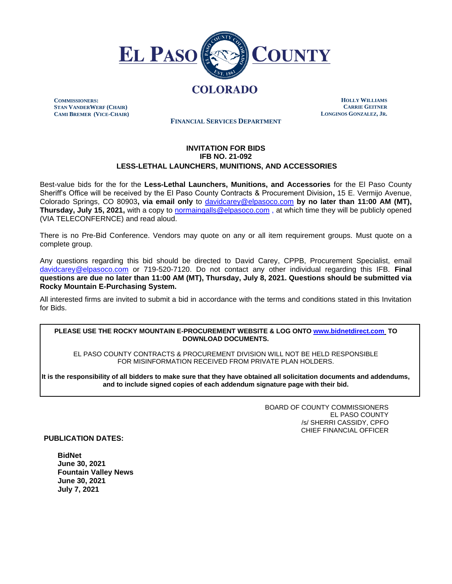

# **COLORADO**

**COMMISSIONERS: STAN VANDERWERF (CHAIR) CAMI BREMER (VICE-CHAIR)**

**HOLLY WILLIAMS CARRIE GEITNER LONGINOS GONZALEZ, JR.**

**FINANCIAL SERVICES DEPARTMENT**

# **INVITATION FOR BIDS IFB NO. 21-092 LESS-LETHAL LAUNCHERS, MUNITIONS, AND ACCESSORIES**

Best-value bids for the for the **Less-Lethal Launchers, Munitions, and Accessories** for the El Paso County Sheriff's Office will be received by the El Paso County Contracts & Procurement Division**,** 15 E. Vermijo Avenue, Colorado Springs, CO 80903**, via email only** to [davidcarey@elpasoco.com](mailto:davidcarey@elpasoco.com) **by no later than 11:00 AM (MT), Thursday, July 15, 2021,** with a copy to [normaingalls@elpasoco.com](mailto:normaingalls@elpasoco.com) , at which time they will be publicly opened (VIA TELECONFERNCE) and read aloud.

There is no Pre-Bid Conference. Vendors may quote on any or all item requirement groups. Must quote on a complete group.

Any questions regarding this bid should be directed to David Carey, CPPB, Procurement Specialist, email [davidcarey@elpasoc](mailto:davidcarey@elpaso)o.com or 719-520-7120. Do not contact any other individual regarding this IFB. **Final questions are due no later than 11:00 AM (MT), Thursday, July 8, 2021. Questions should be submitted via Rocky Mountain E-Purchasing System.** 

All interested firms are invited to submit a bid in accordance with the terms and conditions stated in this Invitation for Bids.

#### **PLEASE USE THE ROCKY MOUNTAIN E-PROCUREMENT WEBSITE & LOG ONT[O www.bidnetdirect.com](http://www.bidnetdirect.com/) TO DOWNLOAD DOCUMENTS.**

EL PASO COUNTY CONTRACTS & PROCUREMENT DIVISION WILL NOT BE HELD RESPONSIBLE FOR MISINFORMATION RECEIVED FROM PRIVATE PLAN HOLDERS.

**It is the responsibility of all bidders to make sure that they have obtained all solicitation documents and addendums, and to include signed copies of each addendum signature page with their bid.**

> BOARD OF COUNTY COMMISSIONERS EL PASO COUNTY /s/ SHERRI CASSIDY, CPFO CHIEF FINANCIAL OFFICER

**PUBLICATION DATES:**

**BidNet June 30, 2021 Fountain Valley News June 30, 2021 July 7, 2021**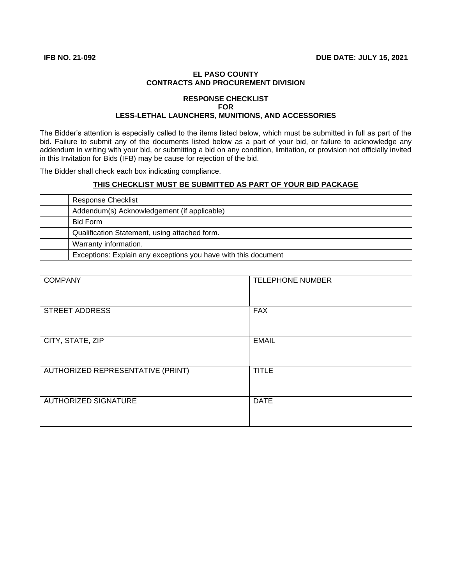## **EL PASO COUNTY CONTRACTS AND PROCUREMENT DIVISION**

### **RESPONSE CHECKLIST FOR LESS-LETHAL LAUNCHERS, MUNITIONS, AND ACCESSORIES**

The Bidder's attention is especially called to the items listed below, which must be submitted in full as part of the bid. Failure to submit any of the documents listed below as a part of your bid, or failure to acknowledge any addendum in writing with your bid, or submitting a bid on any condition, limitation, or provision not officially invited in this Invitation for Bids (IFB) may be cause for rejection of the bid.

The Bidder shall check each box indicating compliance.

# **THIS CHECKLIST MUST BE SUBMITTED AS PART OF YOUR BID PACKAGE**

| <b>Response Checklist</b>                                      |
|----------------------------------------------------------------|
| Addendum(s) Acknowledgement (if applicable)                    |
| Bid Form                                                       |
| Qualification Statement, using attached form.                  |
| Warranty information.                                          |
| Exceptions: Explain any exceptions you have with this document |

| <b>COMPANY</b>                    | <b>TELEPHONE NUMBER</b> |
|-----------------------------------|-------------------------|
| <b>STREET ADDRESS</b>             | <b>FAX</b>              |
| CITY, STATE, ZIP                  | <b>EMAIL</b>            |
| AUTHORIZED REPRESENTATIVE (PRINT) | <b>TITLE</b>            |
| <b>AUTHORIZED SIGNATURE</b>       | <b>DATE</b>             |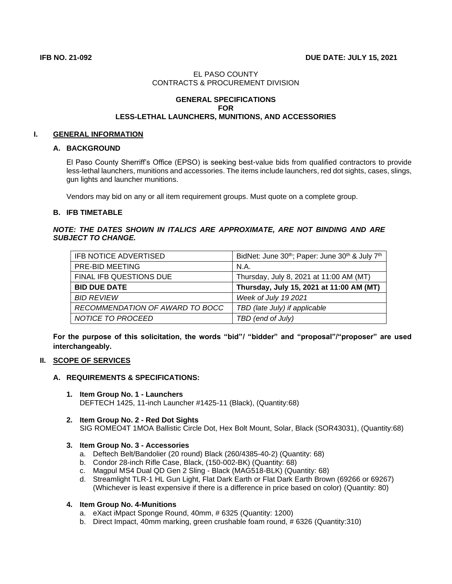# EL PASO COUNTY CONTRACTS & PROCUREMENT DIVISION

### **GENERAL SPECIFICATIONS FOR LESS-LETHAL LAUNCHERS, MUNITIONS, AND ACCESSORIES**

### **I. GENERAL INFORMATION**

# **A. BACKGROUND**

El Paso County Sherriff's Office (EPSO) is seeking best-value bids from qualified contractors to provide less-lethal launchers, munitions and accessories. The items include launchers, red dot sights, cases, slings, gun lights and launcher munitions.

Vendors may bid on any or all item requirement groups. Must quote on a complete group.

### **B. IFB TIMETABLE**

### *NOTE: THE DATES SHOWN IN ITALICS ARE APPROXIMATE, ARE NOT BINDING AND ARE SUBJECT TO CHANGE.*

| IFB NOTICE ADVERTISED           | BidNet: June 30th; Paper: June 30th & July 7th |
|---------------------------------|------------------------------------------------|
| <b>PRE-BID MEETING</b>          | N.A.                                           |
| FINAL IFB QUESTIONS DUE         | Thursday, July 8, 2021 at 11:00 AM (MT)        |
| <b>BID DUE DATE</b>             | Thursday, July 15, 2021 at 11:00 AM (MT)       |
| <b>BID REVIEW</b>               | Week of July 19 2021                           |
| RECOMMENDATION OF AWARD TO BOCC | TBD (late July) if applicable                  |
| NOTICE TO PROCEED               | TBD (end of July)                              |

**For the purpose of this solicitation, the words "bid"/ "bidder" and "proposal"/"proposer" are used interchangeably.**

# **II. SCOPE OF SERVICES**

### **A. REQUIREMENTS & SPECIFICATIONS:**

- **1. Item Group No. 1 - Launchers** DEFTECH 1425, 11-inch Launcher #1425-11 (Black), (Quantity:68)
- **2. Item Group No. 2 - Red Dot Sights** SIG ROMEO4T 1MOA Ballistic Circle Dot, Hex Bolt Mount, Solar, Black (SOR43031), (Quantity:68)

### **3. Item Group No. 3 - Accessories**

- a. Deftech Belt/Bandolier (20 round) Black (260/4385-40-2) (Quantity: 68)
- b. Condor 28-inch Rifle Case, Black, (150-002-BK) (Quantity: 68)
- c. Magpul MS4 Dual QD Gen 2 Sling Black (MAG518-BLK) (Quantity: 68)
- d. Streamlight TLR-1 HL Gun Light, Flat Dark Earth or Flat Dark Earth Brown (69266 or 69267) (Whichever is least expensive if there is a difference in price based on color) (Quantity: 80)

### **4. Item Group No. 4-Munitions**

- a. eXact iMpact Sponge Round, 40mm, # 6325 (Quantity: 1200)
- b. Direct Impact, 40mm marking, green crushable foam round, # 6326 (Quantity:310)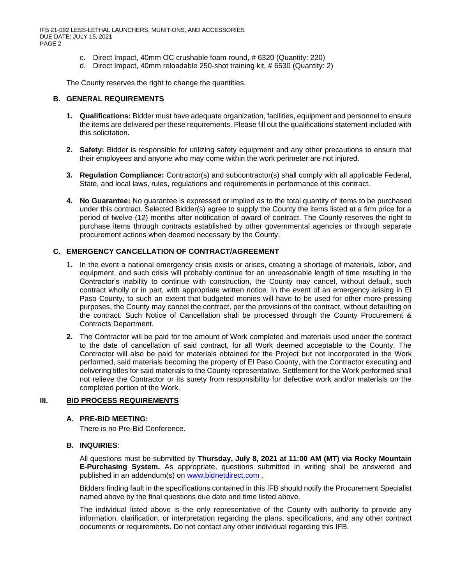IFB 21-092 LESS-LETHAL LAUNCHERS, MUNITIONS, AND ACCESSORIES DUE DATE: JULY 15, 2021 PAGE 2

- c. Direct Impact, 40mm OC crushable foam round, # 6320 (Quantity: 220)
- d. Direct Impact, 40mm reloadable 250-shot training kit, # 6530 (Quantity: 2)

The County reserves the right to change the quantities.

#### **B. GENERAL REQUIREMENTS**

- **1. Qualifications:** Bidder must have adequate organization, facilities, equipment and personnel to ensure the items are delivered per these requirements. Please fill out the qualifications statement included with this solicitation.
- **2. Safety:** Bidder is responsible for utilizing safety equipment and any other precautions to ensure that their employees and anyone who may come within the work perimeter are not injured.
- **3. Regulation Compliance:** Contractor(s) and subcontractor(s) shall comply with all applicable Federal, State, and local laws, rules, regulations and requirements in performance of this contract.
- **4. No Guarantee:** No guarantee is expressed or implied as to the total quantity of items to be purchased under this contract. Selected Bidder(s) agree to supply the County the items listed at a firm price for a period of twelve (12) months after notification of award of contract. The County reserves the right to purchase items through contracts established by other governmental agencies or through separate procurement actions when deemed necessary by the County.

# **C. EMERGENCY CANCELLATION OF CONTRACT/AGREEMENT**

- 1. In the event a national emergency crisis exists or arises, creating a shortage of materials, labor, and equipment, and such crisis will probably continue for an unreasonable length of time resulting in the Contractor's inability to continue with construction, the County may cancel, without default, such contract wholly or in part, with appropriate written notice. In the event of an emergency arising in El Paso County, to such an extent that budgeted monies will have to be used for other more pressing purposes, the County may cancel the contract, per the provisions of the contract, without defaulting on the contract. Such Notice of Cancellation shall be processed through the County Procurement & Contracts Department.
- **2.** The Contractor will be paid for the amount of Work completed and materials used under the contract to the date of cancellation of said contract, for all Work deemed acceptable to the County. The Contractor will also be paid for materials obtained for the Project but not incorporated in the Work performed, said materials becoming the property of El Paso County, with the Contractor executing and delivering titles for said materials to the County representative. Settlement for the Work performed shall not relieve the Contractor or its surety from responsibility for defective work and/or materials on the completed portion of the Work.

### **III. BID PROCESS REQUIREMENTS**

### **A. PRE-BID MEETING:**

There is no Pre-Bid Conference.

### **B. INQUIRIES**:

All questions must be submitted by **Thursday, July 8, 2021 at 11:00 AM (MT) via Rocky Mountain E-Purchasing System.** As appropriate, questions submitted in writing shall be answered and published in an addendum(s) on [www.bidnetdirect.com](http://www.bidnetdirect.com/) .

Bidders finding fault in the specifications contained in this IFB should notify the Procurement Specialist named above by the final questions due date and time listed above.

The individual listed above is the only representative of the County with authority to provide any information, clarification, or interpretation regarding the plans, specifications, and any other contract documents or requirements. Do not contact any other individual regarding this IFB.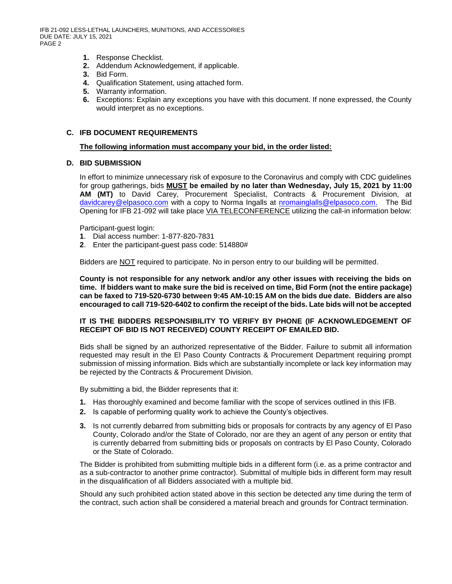IFB 21-092 LESS-LETHAL LAUNCHERS, MUNITIONS, AND ACCESSORIES DUE DATE: JULY 15, 2021 PAGE 2

- **1.** Response Checklist.
- **2.** Addendum Acknowledgement, if applicable.
- **3.** Bid Form.
- **4.** Qualification Statement, using attached form.
- **5.** Warranty information.
- **6.** Exceptions: Explain any exceptions you have with this document. If none expressed, the County would interpret as no exceptions.

### **C. IFB DOCUMENT REQUIREMENTS**

#### **The following information must accompany your bid, in the order listed:**

# **D. BID SUBMISSION**

In effort to minimize unnecessary risk of exposure to the Coronavirus and comply with CDC guidelines for group gatherings, bids **MUST be emailed by no later than Wednesday, July 15, 2021 by 11:00 AM (MT)** to David Carey, Procurement Specialist, Contracts & Procurement Division, at [davidcarey@elpasoco.com](mailto:davidcarey@elpasoco.com) with a copy to Norma Ingalls at [nromainglalls@elpasoco.com.](mailto:nromainglalls@elpasoco.com) The Bid Opening for IFB 21-092 will take place VIA TELECONFERENCE utilizing the call-in information below:

Participant-guest login:

- **1**. Dial access number: 1-877-820-7831
- **2**. Enter the participant-guest pass code: 514880#

Bidders are NOT required to participate. No in person entry to our building will be permitted.

**County is not responsible for any network and/or any other issues with receiving the bids on time. If bidders want to make sure the bid is received on time, Bid Form (not the entire package) can be faxed to 719-520-6730 between 9:45 AM-10:15 AM on the bids due date. Bidders are also encouraged to call 719-520-6402 to confirm the receipt of the bids. Late bids will not be accepted**

#### **IT IS THE BIDDERS RESPONSIBILITY TO VERIFY BY PHONE (IF ACKNOWLEDGEMENT OF RECEIPT OF BID IS NOT RECEIVED) COUNTY RECEIPT OF EMAILED BID.**

Bids shall be signed by an authorized representative of the Bidder. Failure to submit all information requested may result in the El Paso County Contracts & Procurement Department requiring prompt submission of missing information. Bids which are substantially incomplete or lack key information may be rejected by the Contracts & Procurement Division.

By submitting a bid, the Bidder represents that it:

- **1.** Has thoroughly examined and become familiar with the scope of services outlined in this IFB.
- **2.** Is capable of performing quality work to achieve the County's objectives.
- **3.** Is not currently debarred from submitting bids or proposals for contracts by any agency of El Paso County, Colorado and/or the State of Colorado, nor are they an agent of any person or entity that is currently debarred from submitting bids or proposals on contracts by El Paso County, Colorado or the State of Colorado.

The Bidder is prohibited from submitting multiple bids in a different form (i.e. as a prime contractor and as a sub-contractor to another prime contractor). Submittal of multiple bids in different form may result in the disqualification of all Bidders associated with a multiple bid.

Should any such prohibited action stated above in this section be detected any time during the term of the contract, such action shall be considered a material breach and grounds for Contract termination.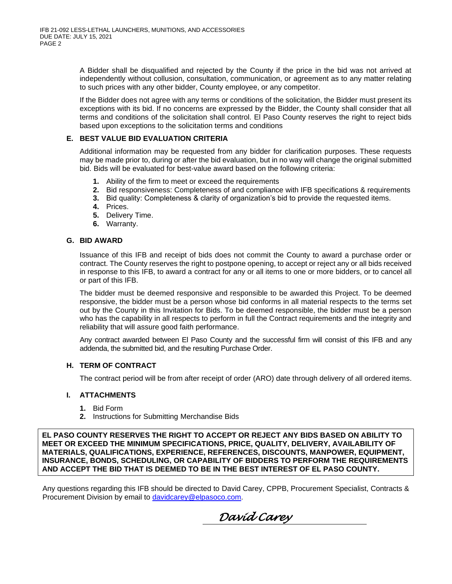A Bidder shall be disqualified and rejected by the County if the price in the bid was not arrived at independently without collusion, consultation, communication, or agreement as to any matter relating to such prices with any other bidder, County employee, or any competitor.

If the Bidder does not agree with any terms or conditions of the solicitation, the Bidder must present its exceptions with its bid. If no concerns are expressed by the Bidder, the County shall consider that all terms and conditions of the solicitation shall control. El Paso County reserves the right to reject bids based upon exceptions to the solicitation terms and conditions

### **E. BEST VALUE BID EVALUATION CRITERIA**

Additional information may be requested from any bidder for clarification purposes. These requests may be made prior to, during or after the bid evaluation, but in no way will change the original submitted bid. Bids will be evaluated for best-value award based on the following criteria:

- **1.** Ability of the firm to meet or exceed the requirements
- **2.** Bid responsiveness: Completeness of and compliance with IFB specifications & requirements
- **3.** Bid quality: Completeness & clarity of organization's bid to provide the requested items.
- **4.** Prices.
- **5.** Delivery Time.
- **6.** Warranty.

### **G. BID AWARD**

Issuance of this IFB and receipt of bids does not commit the County to award a purchase order or contract. The County reserves the right to postpone opening, to accept or reject any or all bids received in response to this IFB, to award a contract for any or all items to one or more bidders, or to cancel all or part of this IFB.

The bidder must be deemed responsive and responsible to be awarded this Project. To be deemed responsive, the bidder must be a person whose bid conforms in all material respects to the terms set out by the County in this Invitation for Bids. To be deemed responsible, the bidder must be a person who has the capability in all respects to perform in full the Contract requirements and the integrity and reliability that will assure good faith performance.

Any contract awarded between El Paso County and the successful firm will consist of this IFB and any addenda, the submitted bid, and the resulting Purchase Order.

### **H. TERM OF CONTRACT**

The contract period will be from after receipt of order (ARO) date through delivery of all ordered items.

### **I. ATTACHMENTS**

- **1.** Bid Form
- **2.** Instructions for Submitting Merchandise Bids

**EL PASO COUNTY RESERVES THE RIGHT TO ACCEPT OR REJECT ANY BIDS BASED ON ABILITY TO MEET OR EXCEED THE MINIMUM SPECIFICATIONS, PRICE, QUALITY, DELIVERY, AVAILABILITY OF MATERIALS, QUALIFICATIONS, EXPERIENCE, REFERENCES, DISCOUNTS, MANPOWER, EQUIPMENT, INSURANCE, BONDS, SCHEDULING, OR CAPABILITY OF BIDDERS TO PERFORM THE REQUIREMENTS AND ACCEPT THE BID THAT IS DEEMED TO BE IN THE BEST INTEREST OF EL PASO COUNTY.**

Any questions regarding this IFB should be directed to David Carey, CPPB, Procurement Specialist, Contracts & Procurement Division by email to [davidcarey@elpasoco.com.](mailto:davidcarey@elpasoco.com)

 *David Carey*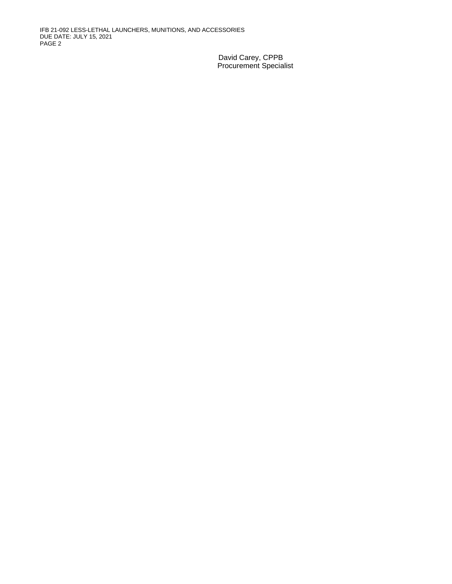IFB 21-092 LESS-LETHAL LAUNCHERS, MUNITIONS, AND ACCESSORIES DUE DATE: JULY 15, 2021 PAGE 2

> David Carey, CPPB Procurement Specialist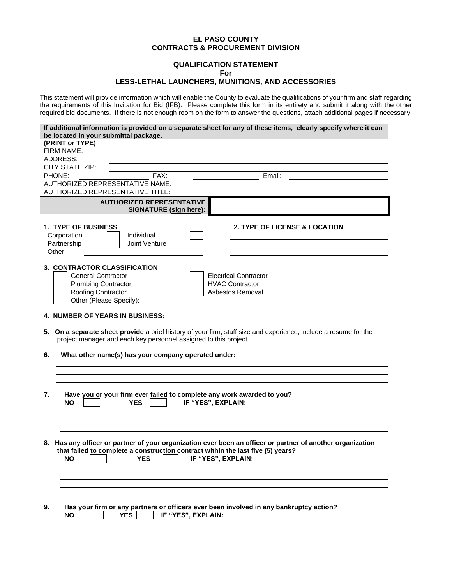#### **EL PASO COUNTY CONTRACTS & PROCUREMENT DIVISION**

#### **QUALIFICATION STATEMENT For**

#### **LESS-LETHAL LAUNCHERS, MUNITIONS, AND ACCESSORIES**

This statement will provide information which will enable the County to evaluate the qualifications of your firm and staff regarding the requirements of this Invitation for Bid (IFB). Please complete this form in its entirety and submit it along with the other required bid documents. If there is not enough room on the form to answer the questions, attach additional pages if necessary.

| be located in your submittal package.                                           | If additional information is provided on a separate sheet for any of these items, clearly specify where it can   |
|---------------------------------------------------------------------------------|------------------------------------------------------------------------------------------------------------------|
| (PRINT or TYPE)                                                                 |                                                                                                                  |
| <b>FIRM NAME:</b>                                                               |                                                                                                                  |
| ADDRESS:                                                                        |                                                                                                                  |
| CITY STATE ZIP:                                                                 |                                                                                                                  |
| PHONE:<br>FAX:                                                                  | Email:                                                                                                           |
| AUTHORIZED REPRESENTATIVE NAME:                                                 |                                                                                                                  |
| <b>AUTHORIZED REPRESENTATIVE TITLE:</b>                                         |                                                                                                                  |
| <b>AUTHORIZED REPRESENTATIVE</b><br><b>SIGNATURE (sign here):</b>               |                                                                                                                  |
| <b>1. TYPE OF BUSINESS</b>                                                      | <b>2. TYPE OF LICENSE &amp; LOCATION</b>                                                                         |
| Individual<br>Corporation                                                       |                                                                                                                  |
| Partnership<br>Joint Venture                                                    |                                                                                                                  |
| Other:                                                                          |                                                                                                                  |
|                                                                                 |                                                                                                                  |
| 3. CONTRACTOR CLASSIFICATION                                                    |                                                                                                                  |
| <b>General Contractor</b>                                                       | <b>Electrical Contractor</b><br><b>HVAC Contractor</b>                                                           |
| <b>Plumbing Contractor</b><br>Roofing Contractor                                | Asbestos Removal                                                                                                 |
| Other (Please Specify):                                                         |                                                                                                                  |
| <b>4. NUMBER OF YEARS IN BUSINESS:</b>                                          |                                                                                                                  |
|                                                                                 |                                                                                                                  |
|                                                                                 | 5. On a separate sheet provide a brief history of your firm, staff size and experience, include a resume for the |
| project manager and each key personnel assigned to this project.                |                                                                                                                  |
| What other name(s) has your company operated under:<br>6.                       |                                                                                                                  |
|                                                                                 |                                                                                                                  |
|                                                                                 |                                                                                                                  |
|                                                                                 |                                                                                                                  |
| 7.<br>Have you or your firm ever failed to complete any work awarded to you?    |                                                                                                                  |
| <b>NO</b><br><b>YES</b>                                                         | IF "YES", EXPLAIN:                                                                                               |
|                                                                                 |                                                                                                                  |
|                                                                                 |                                                                                                                  |
|                                                                                 |                                                                                                                  |
|                                                                                 | 8. Has any officer or partner of your organization ever been an officer or partner of another organization       |
| that failed to complete a construction contract within the last five (5) years? |                                                                                                                  |
| YES<br><b>NO</b>                                                                | IF "YES", EXPLAIN:                                                                                               |
|                                                                                 |                                                                                                                  |
|                                                                                 |                                                                                                                  |
|                                                                                 |                                                                                                                  |
| 9.                                                                              | Has your firm or any partners or officers ever been involved in any bankruptcy action?                           |
| <b>YES</b><br><b>NO</b>                                                         | IF "YES", EXPLAIN:                                                                                               |